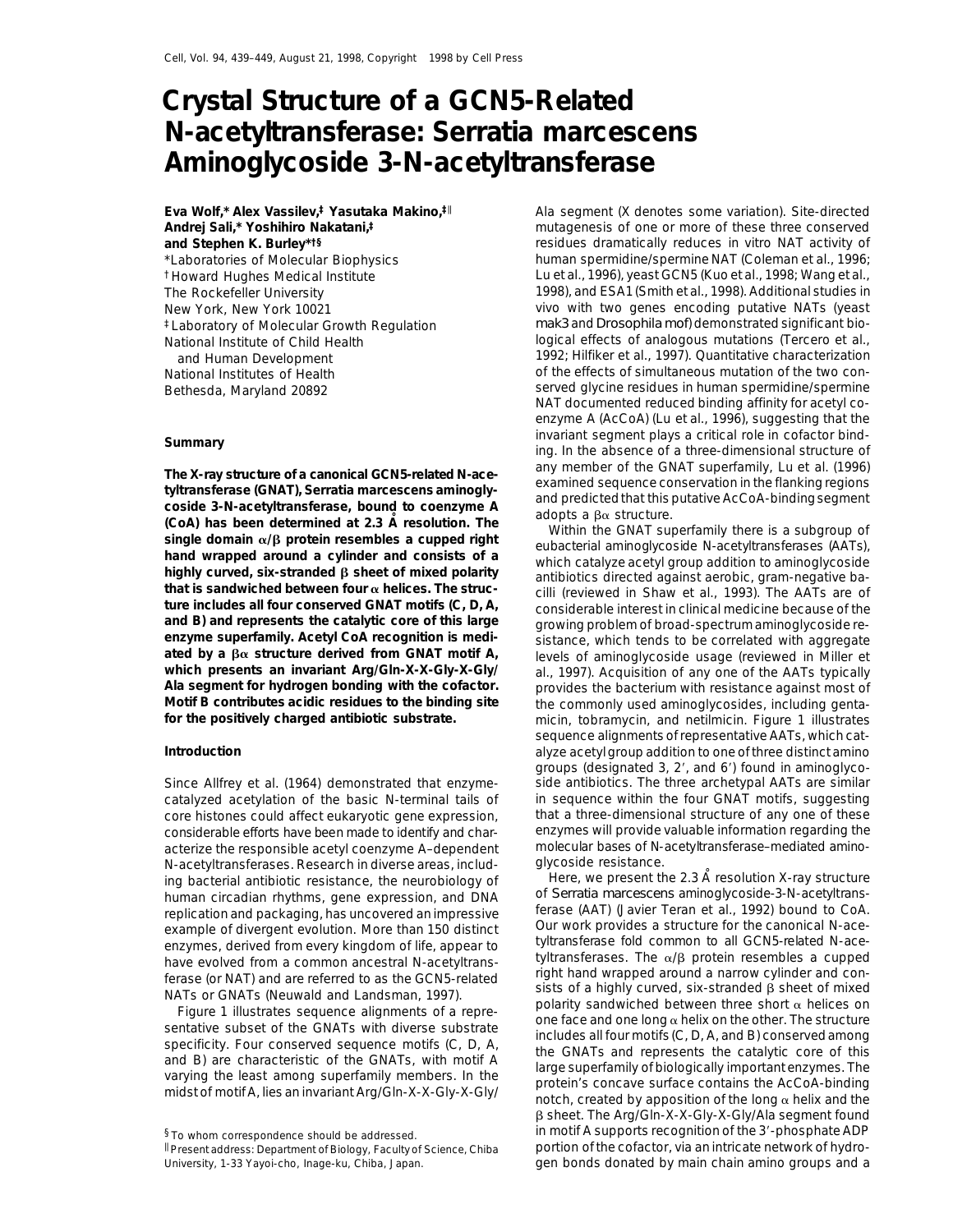# **Crystal Structure of a GCN5-Related N-acetyltransferase:** *Serratia marcescens* **Aminoglycoside 3-N-acetyltransferase**

**Eva Wolf,\* Alex Vassilev,‡ Yasutaka Makino,‡**<sup>k</sup> **Andrej Sali,\* Yoshihiro Nakatani,‡ and Stephen K. Burley\*†§** \*Laboratories of Molecular Biophysics †Howard Hughes Medical Institute

The X-ray structure of a canonical GCN5-related N-ace-<br>
tyltransferase (GNAT), *Serratia marcescens* aminogly-<br>
coside 3-N-acetyltransferase, bound to coenzyme A<br>
(CoA) has been determined at 2.3 A resolution. The<br>
single

N-acetyltransferases. Research in diverse areas, includ-<br>ing bacterial antibiotic resistance, the neurobiology of Fere, we present the 2.3 Å resolution X-ray structure ing bacterial antibiotic resistance, the neurobiology of Fere, we present the 2.3 A resolution X-ray structure<br>human circadian rhythms, gene expression, and DNA of Serratia marcescens aminoglycoside-3-N-acetyltrans-

Ala segment (X denotes some variation). Site-directed mutagenesis of one or more of these three conserved residues dramatically reduces in vitro NAT activity of human spermidine/spermine NAT (Coleman et al., 1996; Lu et al., 1996), yeast GCN5 (Kuo et al., 1998; Wang et al., The Rockefeller University 1998), and ESA1 (Smith et al., 1998). Additional studies in New York, New York 10021 vivo with two genes encoding putative NATs (yeast ‡Laboratory of Molecular Growth Regulation *mak3* and *Drosophila mof*) demonstrated significant bio-National Institute of Child Health **interpretent in the Separate Separate Conservate** logical effects of analogous mutations (Tercero et al., and Human Development 1992; Hilfiker et al., 1997). Quantitative characterization National Institutes of Health **of the effects of simultaneous mutation of the two con-**Bethesda, Maryland 20892 served glycine residues in human spermidine/spermine NAT documented reduced binding affinity for acetyl coenzyme A (AcCoA) (Lu et al., 1996), suggesting that the invariant segment plays a critical role in cofactor bind- **Summary** ing. In the absence of a three-dimensional structure of

ture includes all four conserved GNAT motifs (C, D, A,<br>and B) and represents the catalytic core of this large<br>enzyme superfamily. Acetyl CoA recognition is medi-<br>ated by a  $\beta\alpha$  structure derived from GNAT motif A,<br>also **ated by a βα structure derived from GNAT motif A, and levels of aminoglycoside usage (reviewed in Miller et which<br><b>which presents an invariant Arg/Gln-X-X-Gly-X-Gly/** and 1997). Acquisition of any one of the AATs typical al., 1997). Acquisition of any one of the AATs typically **Ala segment for hydrogen bonding with the cofactor.** provides the bacterium with resistance against most of **Motif B contributes acidic residues to the binding site** the commonly used aminoglycosides, including genta-<br>
for the positively charged antibiotic substrate.<br>
micin, tobramycin, and netilmicin. Figure 1 illustrates **for the positively charged antibiotic substrate.** micin, tobramycin, and netilmicin. Figure 1 illustrates sequence alignments of representative AATs, which cat-**Introduction** alyze acetylgroup addition to one of three distinct amino groups (designated  $3$ ,  $2'$ , and  $6'$ ) found in aminoglyco-Since Allfrey et al. (1964) demonstrated that enzyme- side antibiotics. The three archetypal AATs are similar catalyzed acetylation of the basic N-terminal tails of in sequence within the four GNAT motifs, suggesting core histones could affect eukaryotic gene expression, that a three-dimensional structure of any one of these considerable efforts have been made to identify and char- enzymes will provide valuable information regarding the acterize the responsible acetyl coenzyme A–dependent molecular bases of N-acetyltransferase–mediated amino-<br>N-acetyltransferases, Research in diverse areas, includ- qlycoside resistance.

human circadian rhythms, gene expression, and DNA of *Serratia marcescens* aminoglycoside-3-N-acetyltrans-<br>replication and packaging, has uncovered an impressive ferase (AAT) (Javier Teran et al., 1992) bound to CoA.<br>exa  $\beta$  sheet. The Arg/Gln-X-X-Gly-X-Gly/Ala segment found §To whom correspondence should be addressed. in motif A supports recognition of the 3'-phosphate ADP Present address: Department of Biology, Faculty of Science, Chiba portion of the cofactor, via an intricate network of hydro-

University, 1-33 Yayoi-cho, Inage-ku, Chiba, Japan. gen bonds donated by main chain amino groups and a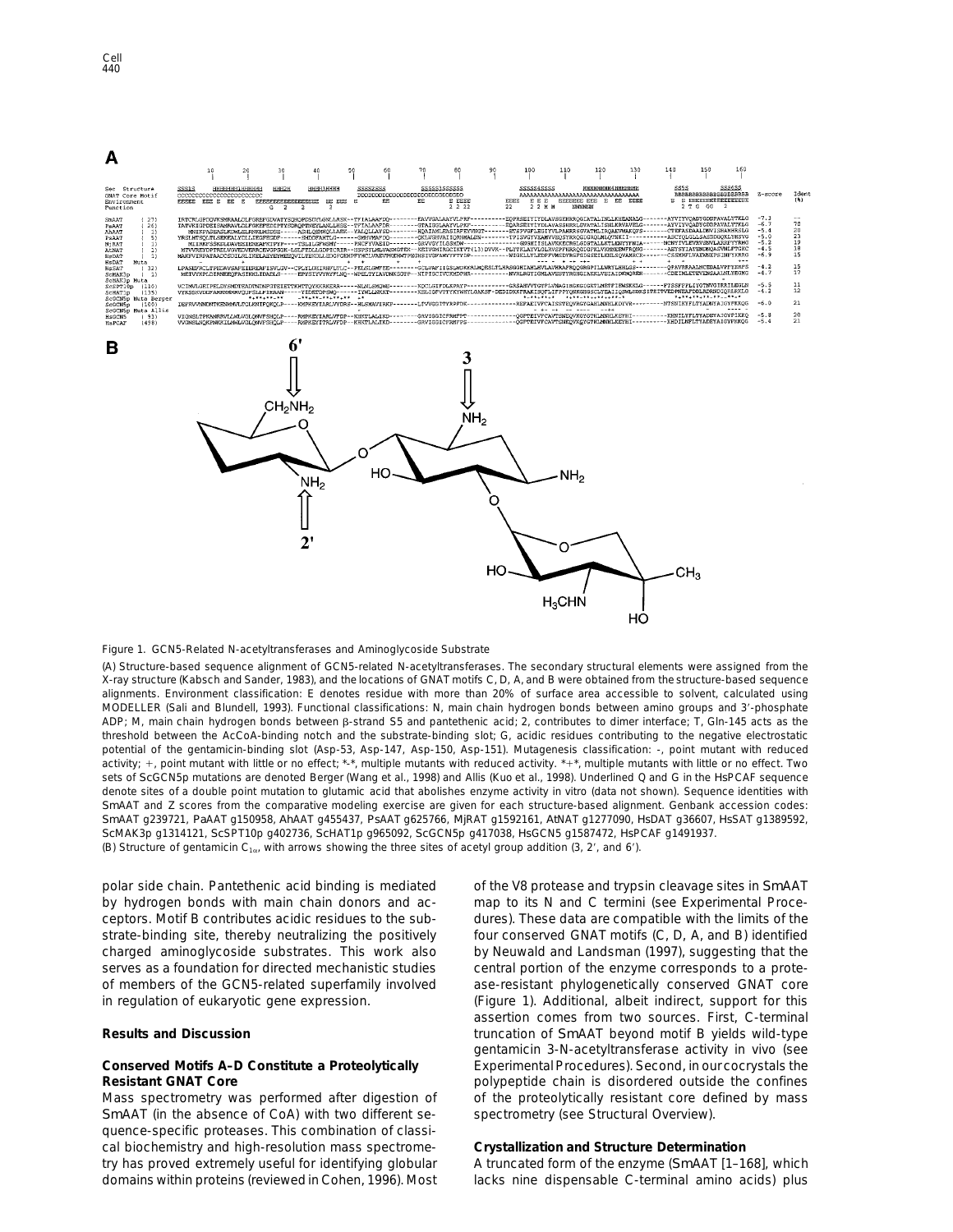

## Figure 1. GCN5-Related N-acetyltransferases and Aminoglycoside Substrate

(A) Structure-based sequence alignment of GCN5-related N-acetyltransferases. The secondary structural elements were assigned from the X-ray structure (Kabsch and Sander, 1983), and the locations of GNAT motifs C, D, A, and B were obtained from the structure-based sequence alignments. Environment classification: E denotes residue with more than 20% of surface area accessible to solvent, calculated using MODELLER (Sali and Blundell, 1993). Functional classifications: N, main chain hydrogen bonds between amino groups and 3'-phosphate ADP; M, main chain hydrogen bonds between ß-strand S5 and pantethenic acid; 2, contributes to dimer interface; T, Gln-145 acts as the threshold between the AcCoA-binding notch and the substrate-binding slot; G, acidic residues contributing to the negative electrostatic potential of the gentamicin-binding slot (Asp-53, Asp-147, Asp-150, Asp-151). Mutagenesis classification: -, point mutant with reduced activity;  $+$ , point mutant with little or no effect; \*-\*, multiple mutants with reduced activity. \*+\*, multiple mutants with little or no effect. Two sets of *Sc*GCN5p mutations are denoted Berger (Wang et al., 1998) and Allis (Kuo et al., 1998). Underlined Q and G in the *Hs*PCAF sequence denote sites of a double point mutation to glutamic acid that abolishes enzyme activity in vitro (data not shown). Sequence identities with *Sm*AAT and Z scores from the comparative modeling exercise are given for each structure-based alignment. Genbank accession codes: *Sm*AAT g239721, *Pa*AAT g150958, *Ah*AAT g455437, *Ps*AAT g625766, *Mj*RAT g1592161, *At*NAT g1277090, *Hs*DAT g36607, *Hs*SAT g1389592, *Sc*MAK3p g1314121, *Sc*SPT10p g402736, *Sc*HAT1p g965092, *Sc*GCN5p g417038, *Hs*GCN5 g1587472, *Hs*PCAF g1491937. (B) Structure of gentamicin C<sub>1a</sub>, with arrows showing the three sites of acetyl group addition (3, 2', and 6').

by hydrogen bonds with main chain donors and ac- map to its N and C termini (see Experimental Proceceptors. Motif B contributes acidic residues to the sub- dures). These data are compatible with the limits of the strate-binding site, thereby neutralizing the positively four conserved GNAT motifs (C, D, A, and B) identified charged aminoglycoside substrates. This work also by Neuwald and Landsman (1997), suggesting that the serves as a foundation for directed mechanistic studies central portion of the enzyme corresponds to a proteof members of the GCN5-related superfamily involved ase-resistant phylogenetically conserved GNAT core in regulation of eukaryotic gene expression. (Figure 1). Additional, albeit indirect, support for this

Mass spectrometry was performed after digestion of of the proteolytically resistant core defined by mass *Sm*AAT (in the absence of CoA) with two different se- spectrometry (see Structural Overview). quence-specific proteases. This combination of classical biochemistry and high-resolution mass spectrome- **Crystallization and Structure Determination** try has proved extremely useful for identifying globular A truncated form of the enzyme (*Sm*AAT [1–168], which

polar side chain. Pantethenic acid binding is mediated of the V8 protease and trypsin cleavage sites in *Sm*AAT assertion comes from two sources. First, C-terminal **Results and Discussion** truncation of *Sm*AAT beyond motif B yields wild-type gentamicin 3-N-acetyltransferase activity in vivo (see **Conserved Motifs A–D Constitute a Proteolytically** Experimental Procedures). Second, in ourcocrystals the **Resistant GNAT Core polypeptide chain is disordered outside the confines** 

domains within proteins (reviewed in Cohen, 1996). Most lacks nine dispensable C-terminal amino acids) plus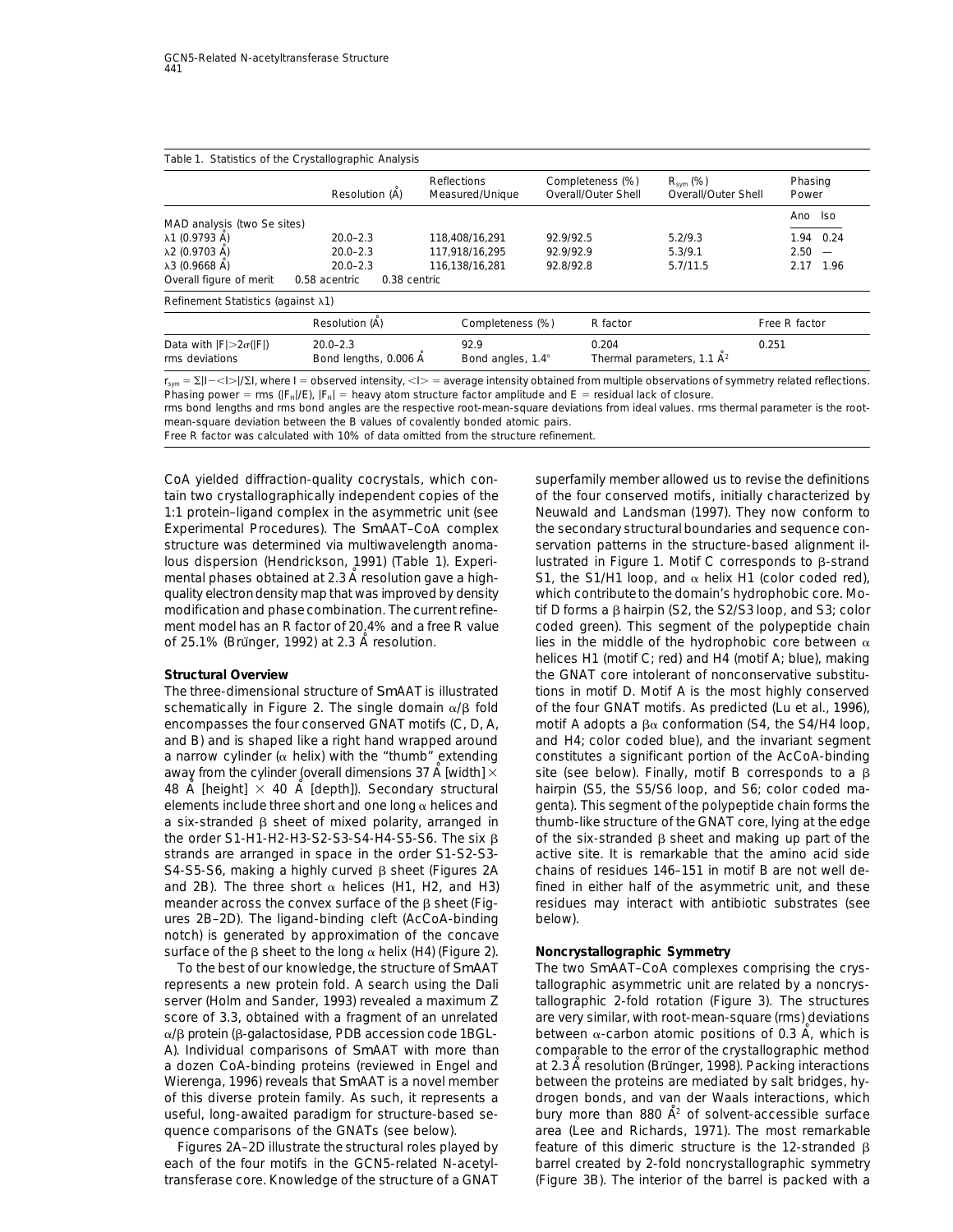|                                             | Resolution (A) | <b>Reflections</b><br>Measured/Unique | Completeness (%)<br>Overall/Outer Shell | $R_{sym}$ (%)<br>Overall/Outer Shell | Phasing<br>Power |
|---------------------------------------------|----------------|---------------------------------------|-----------------------------------------|--------------------------------------|------------------|
| MAD analysis (two Se sites)                 |                |                                       |                                         |                                      | Ano Iso          |
| λ1 (0.9793 A)                               | $20.0 - 2.3$   | 118.408/16.291                        | 92.9/92.5                               | 5.2/9.3                              | 1.94 0.24        |
| λ2 (0.9703 Å)                               | $20.0 - 2.3$   | 117.918/16.295                        | 92.9/92.9                               | 5.3/9.1                              | $2.50 -$         |
| λ3 (0.9668 A)                               | $20.0 - 2.3$   | 116.138/16.281                        | 92.8/92.8                               | 5.7/11.5                             | 2.17 1.96        |
| Overall figure of merit                     | 0.58 acentric  | 0.38 centric                          |                                         |                                      |                  |
| Refinement Statistics (against $\lambda$ 1) |                |                                       |                                         |                                      |                  |
|                                             | Resolution (A) | Completeness (%)                      | R factor                                |                                      | Free R factor    |

Data with  $|F| > 2\sigma(|F|)$  20.0–2.3 92.9 0.204 0.251<br>
20.251 ms deviations Bond lengths, 0.006 Å Bond angles, 1.4° Thermal parameters, 1.1 Å<sup>2</sup> Thermal parameters, 1.1  $\dot{\mathsf{A}}^2$  $r_{sym} = \Sigma |I - \langle 1 \rangle / \Sigma I$ , where I = observed intensity,  $\langle 1 \rangle$  = average intensity obtained from multiple observations of symmetry related reflections. Phasing power = rms ( $|F_H|/E$ ),  $|F_H|$  = heavy atom structure factor amplitude and E = residual lack of closure.

rms bond lengths and rms bond angles are the respective root-mean-square deviations from ideal values. rms thermal parameter is the rootmean-square deviation between the B values of covalently bonded atomic pairs.

Free R factor was calculated with 10% of data omitted from the structure refinement.

CoA yielded diffraction-quality cocrystals, which con- superfamily member allowed us to revise the definitions tain two crystallographically independent copies of the of the four conserved motifs, initially characterized by 1:1 protein–ligand complex in the asymmetric unit (see Neuwald and Landsman (1997). They now conform to Experimental Procedures). The *Sm*AAT-CoA complex the secondary structural boundaries and sequence constructure was determined via multiwavelength anoma- servation patterns in the structure-based alignment illous dispersion (Hendrickson, 1991) (Table 1). Experi-<br>
lustrated in Figure 1. Motif C corresponds to β-strand mental phases obtained at 2.3 A resolution gave a high- S1, the S1/H1 loop, and  $\alpha$  helix H1 (color coded red), quality electrondensity map that was improved by density which contributeto the domain's hydrophobic core. Momodification and phase combination. The current refine- tif D forms a  $\beta$  hairpin (S2, the S2/S3 loop, and S3; color ment model has an R factor of 20.4% and a free R value coded green). This segment of the polypeptide chain

schematically in Figure 2. The single domain  $\alpha/\beta$  fold of the four GNAT motifs. As predicted (Lu et al., 1996), encompasses the four conserved GNAT motifs (C, D, A, motif A adopts a  $\beta\alpha$  conformation (S4, the S4/H4 loop, and B) and is shaped like a right hand wrapped around and H4; color coded blue), and the invariant segment a narrow cylinder ( $\alpha$  helix) with the "thumb" extending constitutes a significant portion of the AcCoA-binding away from the cylinder (overall dimensions 37 A [width]  $\times$  site (see below). Finally, motif B corresponds to a  $\beta$ 48 A [height]  $\times$  40 A [depth]). Secondary structural hairpin (S5, the S5/S6 loop, and S6; color coded maelements include three short and one long  $\alpha$  helices and genta). This segment of the polypeptide chain forms the a six-stranded  $\beta$  sheet of mixed polarity, arranged in thumb-like structure of the GNAT core, lying at the edge the order S1-H1-H2-H3-S2-S3-S4-H4-S5-S6. The six  $\beta$  of the six-stranded  $\beta$  sheet and making up part of the strands are arranged in space in the order S1-S2-S3- active site. It is remarkable that the amino acid side S4-S5-S6, making a highly curved  $\beta$  sheet (Figures 2A chains of residues 146-151 in motif B are not well deand 2B). The three short  $\alpha$  helices (H1, H2, and H3) fined in either half of the asymmetric unit, and these meander across the convex surface of the  $\beta$  sheet (Fig- residues may interact with antibiotic substrates (see ures 2B–2D). The ligand-binding cleft (AcCoA-binding below). notch) is generated by approximation of the concave surface of the  $\beta$  sheet to the long  $\alpha$  helix (H4) (Figure 2). **Noncrystallographic Symmetry** 

represents a new protein fold. A search using the Dali lallographic asymmetric unit are related by a noncrysserver (Holm and Sander, 1993) revealed a maximum Z tallographic 2-fold rotation (Figure 3). The structures score of 3.3, obtained with a fragment of an unrelated are very similar, with root-mean-square (rms) deviations  $\alpha$ /β protein (β-galactosidase, PDB accession code 1BGL- between  $\alpha$ -carbon atomic positions of 0.3 Ā, which is A). Individual comparisons of *Sm*AAT with more than comparable to the error of the crystallographic method a dozen CoA-binding proteins (reviewed in Engel and at 2.3 A resolution (Brünger, 1998). Packing interactions Wierenga, 1996) reveals that *Sm*AAT is a novel member between the proteins are mediated by salt bridges, hyof this diverse protein family. As such, it represents a drogen bonds, and van der Waals interactions, which useful, long-awaited paradigm for structure-based se-<br>bury more than 880  $\AA^2$  of solvent-accessible surface

of 25.1% (Brunger, 1992) at 2.3 A resolution. lies in the middle of the hydrophobic core between  $\alpha$ helices H1 (motif C; red) and H4 (motif A; blue), making **Structural Overview** the GNAT core intolerant of nonconservative substitu-The three-dimensional structure of *Sm*AAT is illustrated tions in motif D. Motif A is the most highly conserved

To the best of our knowledge, the structure of *Sm*AAT The two *Sm*AAT–CoA complexes comprising the crysquence comparisons of the GNATs (see below). area (Lee and Richards, 1971). The most remarkable Figures 2A–2D illustrate the structural roles played by feature of this dimeric structure is the 12-stranded  $\beta$ each of the four motifs in the GCN5-related N-acetyl-<br>
barrel created by 2-fold noncrystallographic symmetry transferase core. Knowledge of the structure of a GNAT (Figure 3B). The interior of the barrel is packed with a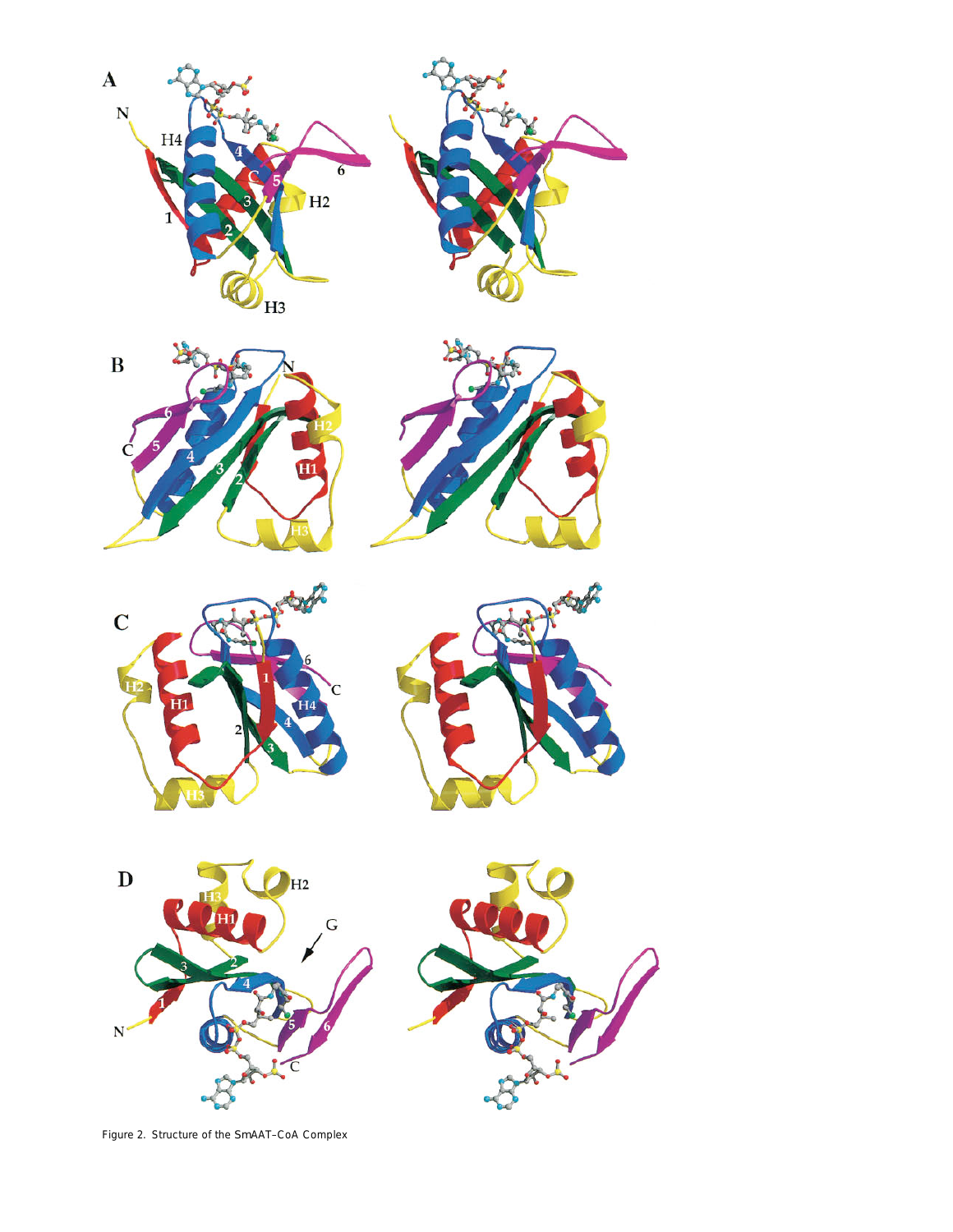













Figure 2. Structure of the *Sm*AAT–CoA Complex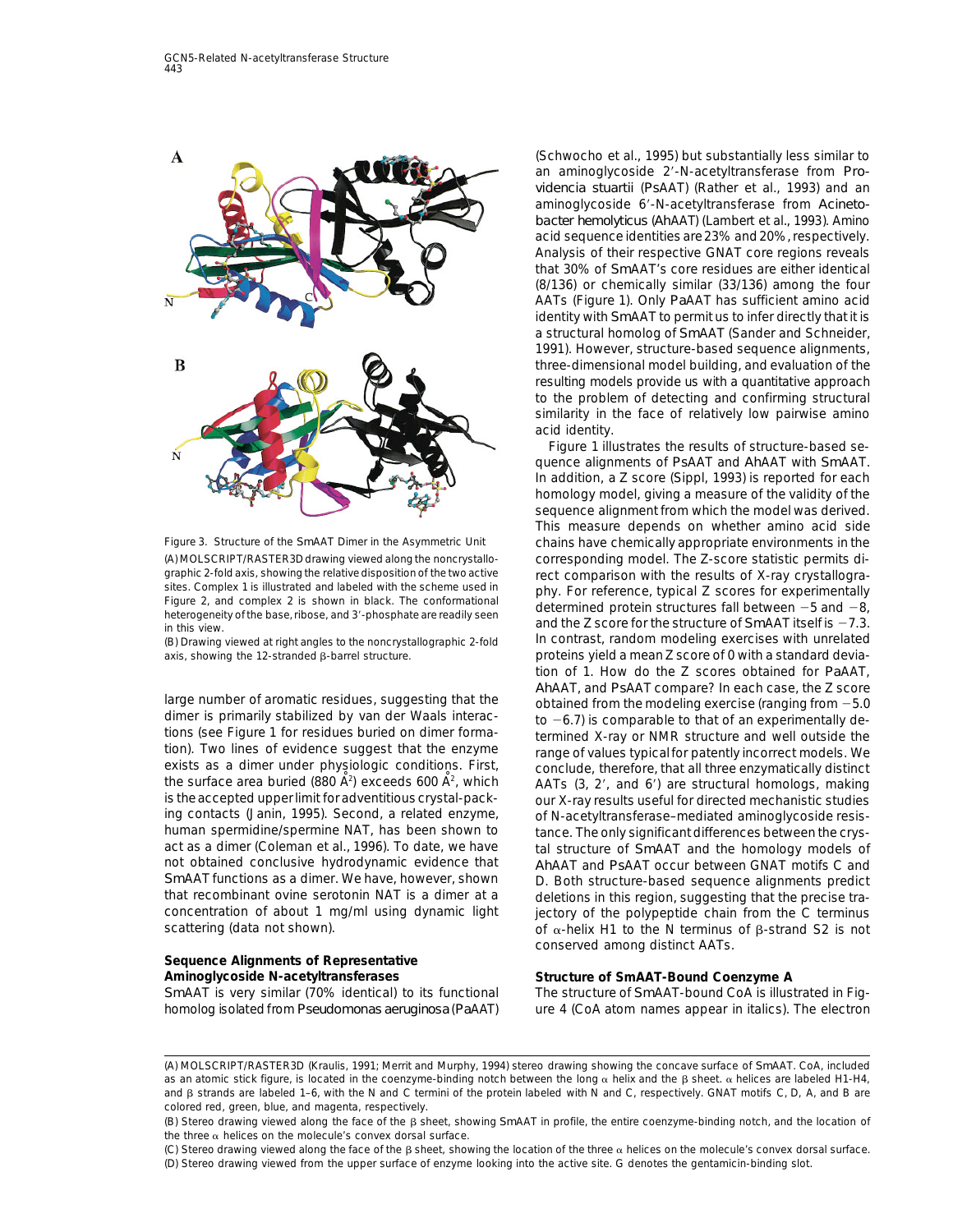

(A) MOLSCRIPT/RASTER3D drawing viewed along the noncrystallo- corresponding model. The Z-score statistic permits digraphic 2-fold axis, showing the relative disposition of the two active<br>sites. Complex 1 is illustrated and labeled with the scheme used in<br>Figure 2, and complex 2 is shown in black. The conformational<br>heterogeneity of th

dimer is primarily stabilized by van der Waals interaction b  $-6.7$  is comparable to that of an experimentally de-<br>tions (see Figure 1 for residues buried on dimer forma-<br>tion). Two lines of evidence suggest that the enzy the surface area buried (880  $\mathbf{A}^2$ ) exceeds 600  $\mathbf{A}^2$ , which the surface area buried (880 A<sup>2</sup>) exceeds 600 A<sup>2</sup>, which  $AATs$  (3, 2', and 6') are structural homologs, making<br>is the accepted upper limit for adventitious crystal-packing contacts (Janin, 1995). Second, a related enzyme, of N-acetyltransferase–mediated aminoglycoside resishuman spermidine/spermine NAT, has been shown to tance. The only significant differences between the crys-<br>act as a dimer (Coleman et al., 1996). To date, we have tal structure of SmAAT and the homology models of act as a dimer (Coleman et al., 1996). To date, we have the structure of *Sm*AAT and the homology models of and<br>About an and the homology models of the talk the talk of the tenders of the homology models of and not obtained conclusive hydrodynamic evidence that *Ah*AAT and *Ps*AAT occur between GNAT motifs C and *Sm*AAT functions as a dimer. We have, however, shown conductional structure-based sequence alignments predict<br>that recombinant ovine serotonin NAT is a dimer at a conductions in this region, suggesting that the precise tr that recombinant ovine serotonin NAT is a dimer at a deletions in this region, suggesting that the precise tra-<br>Concentration of about 1 mg/ml using dynamic light dectory of the polypeptide chain from the C terminus

# **Sequence Alignments of Representative Aminoglycoside N-acetyltransferases Structure of** *Sm***AAT-Bound Coenzyme A**

(Schwocho et al., 1995) but substantially less similar to an aminoglycoside 2'-N-acetyltransferase from Pro*videncia stuartii* (*Ps*AAT) (Rather et al., 1993) and an aminoglycoside 6'-N-acetyltransferase from Acineto*bacter hemolyticus* (*Ah*AAT) (Lambert et al., 1993). Amino acid sequence identities are23% and 20%, respectively. Analysis of their respective GNAT core regions reveals that 30% of *Sm*AAT's core residues are either identical (8/136) or chemically similar (33/136) among the four AATs (Figure 1). Only *Pa*AAT has sufficient amino acid identity with *Sm*AAT to permit us to infer directly that it is a structural homolog of *Sm*AAT (Sander and Schneider, 1991). However, structure-based sequence alignments, three-dimensional model building, and evaluation of the resulting models provide us with a quantitative approach to the problem of detecting and confirming structural similarity in the face of relatively low pairwise amino acid identity.

Figure 1 illustrates the results of structure-based sequence alignments of *Ps*AAT and *Ah*AAT with *Sm*AAT. In addition, a Z score (Sippl, 1993) is reported for each homology model, giving a measure of the validity of the sequence alignment from which the model was derived. This measure depends on whether amino acid side Figure 3. Structure of the *Sm*AAT Dimer in the Asymmetric Unit chains have chemically appropriate environments in the (B) Drawing viewed at right angles to the noncrystallographic 2-fold In contrast, random modeling exercises with unrelated axis, showing the 12-stranded  $\beta$ -barrel structure. proteins yield a mean Z score of 0 with a standard deviation of 1. How do the Z scores obtained for *Pa*AAT, *AhAAT*, and *PsAAT* compare? In each case, the Z score<br>direction aromatic residues, suggesting that the obtained from the modeling exercise (ranging from -5.0<br>dimer is primarily stabilized by van der Waals interac-<br>to -6. our X-ray results useful for directed mechanistic studies jectory of the polypeptide chain from the C terminus scattering (data not shown).  $\qquad \qquad$  of  $\alpha$ -helix H1 to the N terminus of  $\beta$ -strand S2 is not conserved among distinct AATs.

*Sm*AAT is very similar (70% identical) to its functional The structure of *Sm*AAT-bound CoA is illustrated in Fighomolog isolated from *Pseudomonas aeruginosa* (*Pa*AAT) ure 4 (CoA atom names appear in italics). The electron

<sup>(</sup>A) MOLSCRIPT/RASTER3D (Kraulis, 1991; Merrit and Murphy, 1994) stereo drawing showing the concave surface of *Sm*AAT. CoA, included as an atomic stick figure, is located in the coenzyme-binding notch between the long  $\alpha$  helix and the  $\beta$  sheet.  $\alpha$  helices are labeled H1-H4, and  $\beta$  strands are labeled 1–6, with the N and C termini of the protein labeled with N and C, respectively. GNAT motifs C, D, A, and B are colored red, green, blue, and magenta, respectively.

<sup>(</sup>B) Stereo drawing viewed along the face of the b sheet, showing *Sm*AAT in profile, the entire coenzyme-binding notch, and the location of the three  $\alpha$  helices on the molecule's convex dorsal surface.

<sup>(</sup>C) Stereo drawing viewed along the face of the  $\beta$  sheet, showing the location of the three  $\alpha$  helices on the molecule's convex dorsal surface. (D) Stereo drawing viewed from the upper surface of enzyme looking into the active site. G denotes the gentamicin-binding slot.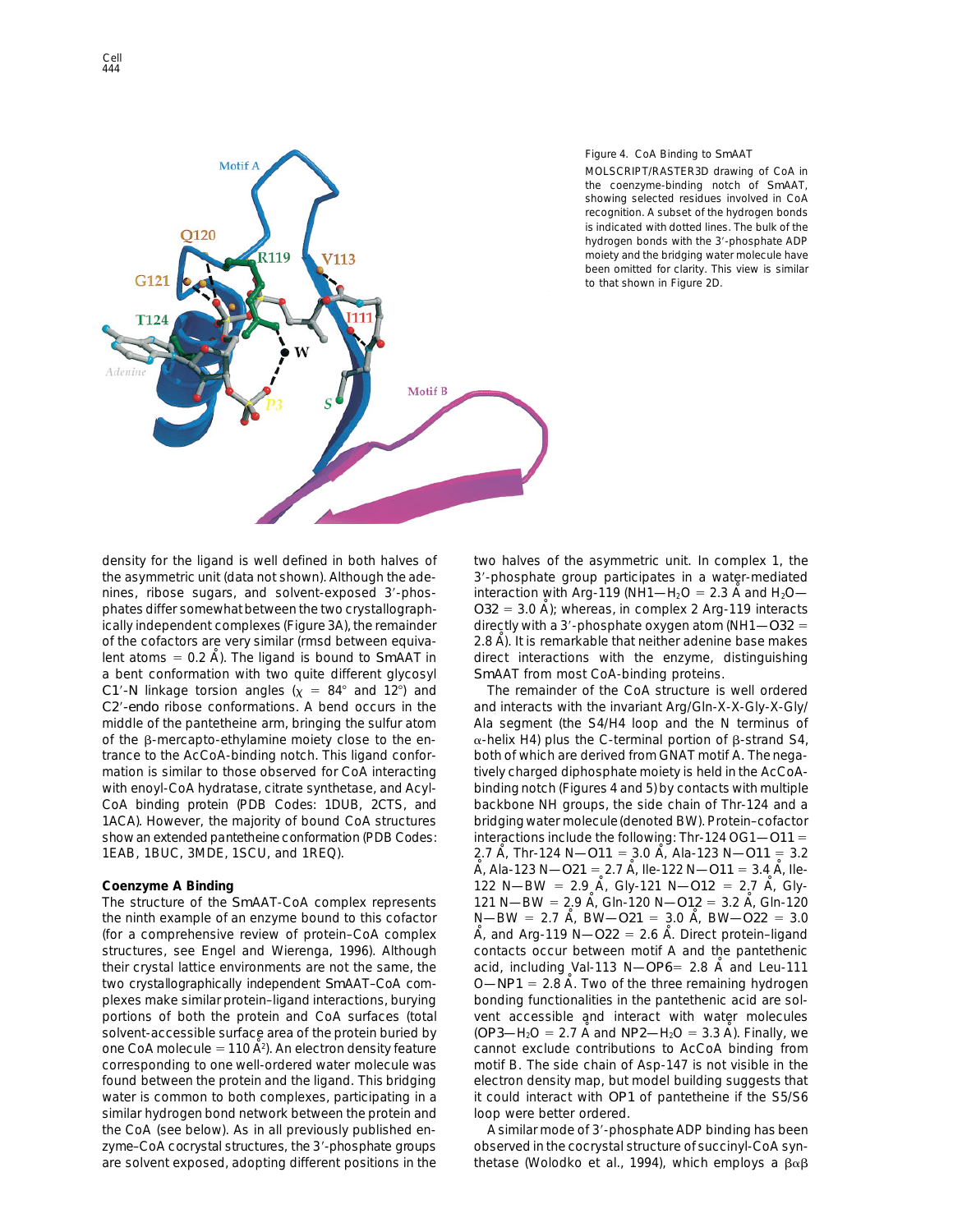

# Figure 4. CoA Binding to *Sm*AAT

MOLSCRIPT/RASTER3D drawing of CoA in the coenzyme-binding notch of *Sm*AAT, showing selected residues involved in CoA recognition. A subset of the hydrogen bonds is indicated with dotted lines. The bulk of the hydrogen bonds with the 3'-phosphate ADP moiety and the bridging water molecule have been omitted for clarity. This view is similar to that shown in Figure 2D.

the asymmetric unit (data not shown). Although the ade- 3'-phosphate group participates in a water-mediated nines, ribose sugars, and solvent-exposed 3'-phos- interaction with Arg-119 (NH1—H<sub>2</sub>O = 2.3 A and H<sub>2</sub>O phates differ somewhat between the two crystallograph-  $O32 = 3.0$  A); whereas, in complex 2 Arg-119 interacts ically independent complexes (Figure 3A), the remainder directly with a 3'-phosphate oxygen atom (NH1—*O32*  $=$ of the cofactors are very similar (rmsd between equiva- 2.8 A). It is remarkable that neither adenine base makes lent atoms = 0.2 A). The ligand is bound to *Sm*AAT in direct interactions with the enzyme, distinguishing a bent conformation with two quite different glycosyl *Sm*AAT from most CoA-binding proteins. *C1'*-N linkage torsion angles  $(x = 84^{\circ}$  and 12°) and The remainder of the CoA structure is well ordered *C2*9*-endo* ribose conformations. A bend occurs in the and interacts with the invariant Arg/Gln-X-X-Gly-X-Gly/ middle of the pantetheine arm, bringing the sulfur atom Ala segment (the S4/H4 loop and the N terminus of of the  $\beta$ -mercapto-ethylamine moiety close to the en-  $\alpha$ -helix H4) plus the C-terminal portion of  $\beta$ -strand S4, trance to the AcCoA-binding notch. This ligand confor- both of which are derived from GNAT motif A. The negamation is similar to those observed for CoA interacting tively charged diphosphate moiety is held in the AcCoAwith enoyl-CoA hydratase, citrate synthetase, and Acyl- binding notch (Figures 4 and 5) by contacts with multiple CoA binding protein (PDB Codes: 1DUB, 2CTS, and backbone NH groups, the side chain of Thr-124 and a 1ACA). However, the majority of bound CoA structures bridging water molecule(denoted BW). Protein–cofactor show an extended pantetheine conformation (PDB Codes: interactions include the following: Thr-124 OG1—*O11* =

The structure of the *Sm*AAT-CoA complex represents 121 N—BW = 2.9 A<sup> $\,$ </sup> Gln-120 N—*O12* = 3.2 A $\,$ , Gln-120 the ninth example of an enzyme bound to this cofactor  $N-BW = 2.7$  A, BW–O21 = 3.0 A, BW–O22 = 3.0 (for a comprehensive review of protein–CoA complex  $A_i$  and Arg-119 N— $O22 = 2.6$  A. Direct protein–ligand structures, see Engel and Wierenga, 1996). Although contacts occur between motif A and the pantethenic their crystal lattice environments are not the same, the acid, including Val-113 N—*OP6*5 2.8 A˚ and Leu-111 two crystallographically independent *Sm*AAT–CoA com- 0—NP1 = 2.8 A. Two of the three remaining hydrogen plexes make similar protein–ligand interactions, burying bonding functionalities in the pantethenic acid are solportions of both the protein and CoA surfaces (total vent accessible and interact with water molecules solvent-accessible surface area of the protein buried by  $(OP3 - H_2O = 2.7 \text{ Å}$  and  $NP2 - H_2O = 3.3 \text{ Å})$ . Finally, we one CoA molecule = 110  $\AA$ <sup>2</sup>). An electron density feature corresponding to one well-ordered water molecule was motif B. The side chain of Asp-147 is not visible in the found between the protein and the ligand. This bridging electron density map, but model building suggests that water is common to both complexes, participating in a it could interact with *OP1* of pantetheine if the S5/S6 similar hydrogen bond network between the protein and loop were better ordered. the CoA (see below). As in all previously published en-<br>A similar mode of 3'-phosphate ADP binding has been zyme–CoA cocrystal structures, the 3'-phosphate groups observed in the cocrystal structure of succinyl-CoA syn-

density for the ligand is well defined in both halves of two halves of the asymmetric unit. In complex 1, the

1EAB, 1BUC, 3MDE, 1SCU, and 1REQ). 2.7 Å, Thr-124 N—*O11* = 3.0 Å, Ala-123 N—*O11* = 3.2 Å, Ala-123 N—O21 = 2.7 Å, Ile-122 N—O11 = 3.4 Å, Ile-**122 N—BW** = 2.9 A<sup> $i$ </sup> Gly-121 N—O12 = 2.7 A $i$  Gly-121 N—O12 = 2.7 A $i$  Glycannot exclude contributions to AcCoA binding from

are solvent exposed, adopting different positions in the thetase (Wolodko et al., 1994), which employs a  $\beta\alpha\beta$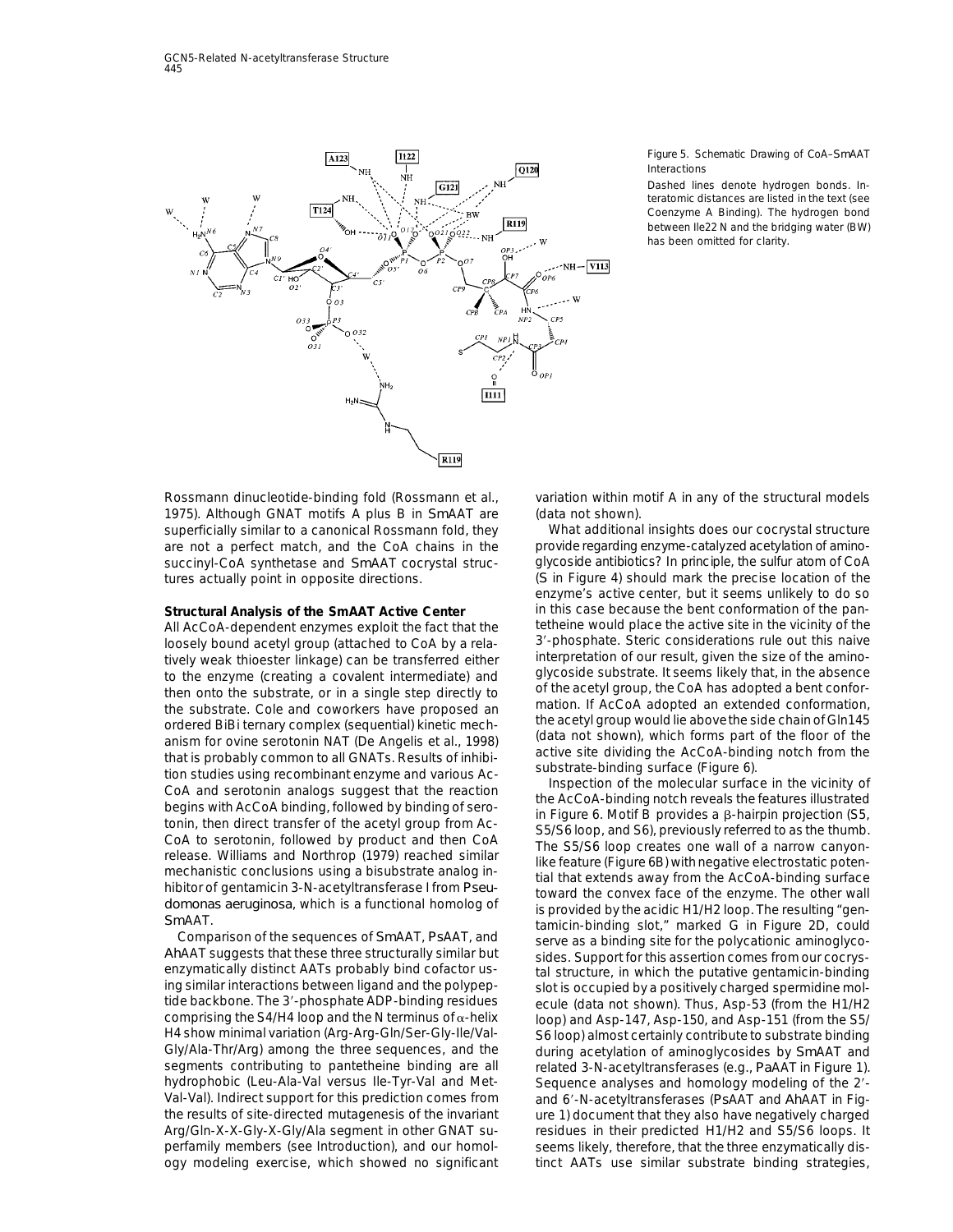

### Figure 5. Schematic Drawing of CoA–*Sm*AAT Interactions

Dashed lines denote hydrogen bonds. Interatomic distances are listed in the text (see Coenzyme A Binding). The hydrogen bond between Ile22 N and the bridging water (BW) has been omitted for clarity.

Rossmann dinucleotide-binding fold (Rossmann et al., variation within motif A in any of the structural models 1975). Although GNAT motifs A plus B in *Sm*AAT are (data not shown). superficially similar to a canonical Rossmann fold, they What additional insights does our cocrystal structure are not a perfect match, and the CoA chains in the provide regarding enzyme-catalyzed acetylation of aminosuccinyl-CoA synthetase and *Sm*AAT cocrystal struc- glycoside antibiotics? In principle, the sulfur atom of CoA

loosely bound acetyl group (attached to CoA by a rela-<br>tively weak thioester linkage) can be transferred either interpretation of our result, given the size of the aminotively weak thioester linkage) can be transferred either<br>
the microposite substrate. It seems likely that, in the size of the amino-<br>
the monto the substrate, cole and coworkers have a proposed and the monto the substrate,

tide backbone. The 3'-phosphate ADP-binding residues ecule (data not shown). Thus, Asp-53 (from the H1/H2<br>comprising the S4/H4 loop and the N terminus of  $\alpha$ -helix loop) and Asp-147. Asp-150, and Asp-151 (from the S5/ H4 show minimal variation (Arg-Arg-Gln/Ser-Gly-Ile/Val-<br>Gly/Ala-Thr/Arg) among the three sequences, and the during acetylation of aminoglycosides by SmAAT and Gly/Ala-Thr/Arg) among the three sequences, and the during acetylation of aminoglycosides by *Sm*AAT and<br>segments contributing to pantetheine binding are all and related 3-N-acetyltransferases (e.g., PaAAT in Figure 1) hydrophobic (Leu-Ala-Val versus Ile-Tyr-Val and Met-<br>Sequence analyses and homology modeling of the 2'-Val-Val). Indirect support for this prediction comes from and 69-N-acetyltransferases (*Ps*AAT and *Ah*AAT in Figthe results of site-directed mutagenesis of the invariant ure 1) document that they also have negatively charged Arg/Gln-X-X-Gly-X-Gly/Ala segment in other GNAT su- residues in their predicted H1/H2 and S5/S6 loops. It perfamily members (see Introduction), and our homol- seems likely, therefore, that the three enzymatically disogy modeling exercise, which showed no significant tinct AATs use similar substrate binding strategies,

tures actually point in opposite directions. (*S* in Figure 4) should mark the precise location of the enzyme's active center, but it seems unlikely to do so **Structural Analysis of the** *Sm***AAT Active Center** in this case because the bent conformation of the pan-All AcCoA-dependent enzymes exploit the fact that the tetheine would place the active site in the vicinity of the

> loop) and Asp-147, Asp-150, and Asp-151 (from the S5/ related 3-N-acetyltransferases (e.g., *Pa*AAT in Figure 1).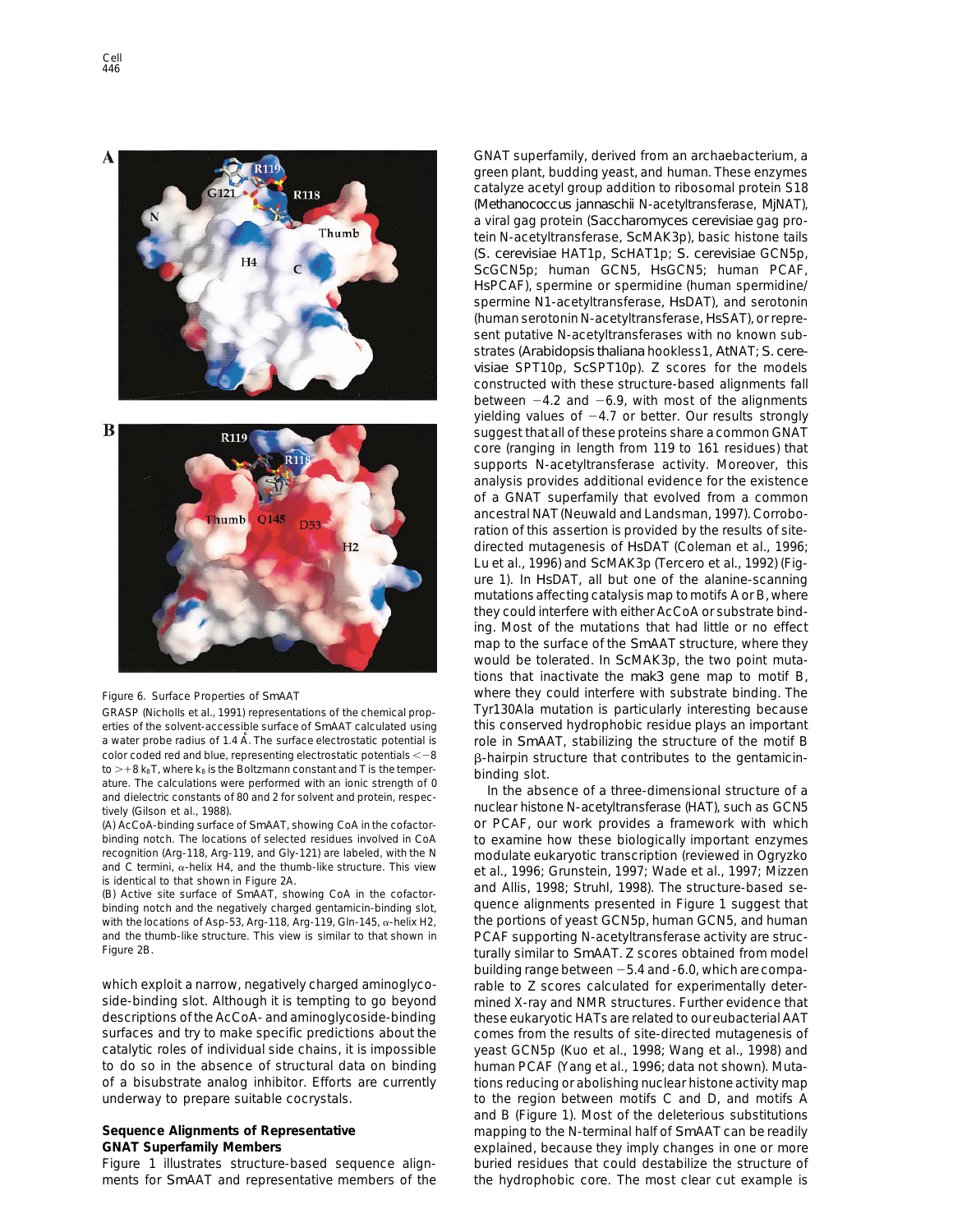

erties of the solvent-accessible surface of *Sm*AAT calculated using this conserved hydrophobic residue plays an important a water probe radius of 1.4 Å. The surface electrostatic potential is role in *SmAAT*, stabilizing the structure of the motif B color coded red and blue, representing electrostatic potentials < -8 a hairnin structure that color coded red and blue, representing electrostatic potentials  $\langle -8 \rangle$ <br>to  $> + 8 k_B T$ , where  $k_B$  is the Boltzmann constant and T is the temper-<br>ature. The calculations were performed with an ionic strength of 0<br>and diele

binding notch. The locations of selected residues involved in CoA to examine how these biologically important enzymes<br>The examition (Arg-118, Arg-119, and Gly-121) are labeled, with the N modulate eukarvotic transcription

binding notch and the negatively charged gentamicin-binding slot, and quence alignments presented in Figure 1 suggest that<br>with the locations of Asp-53, Arg-118, Arg-119, Gln-145, α-helix H2, the portions of yeast GCN5p, with the locations of Asp-53, Arg-118, Arg-119, Gln-145,  $\alpha$ -helix H2, and the thumb-like structure. This view is similar to that shown in PCAF supporting N-acetyltransferase activity are struc-

side-binding slot. Although it is tempting to go beyond mined X-ray and NMR structures. Further evidence that descriptions of the AcCoA- and aminoglycoside-binding these eukaryotic HATs are related to our eubacterial AAT surfaces and try to make specific predictions about the comes from the results of site-directed mutagenesis of catalytic roles of individual side chains, it is impossible yeast GCN5p (Kuo et al., 1998; Wang et al., 1998) and to do so in the absence of structural data on binding human PCAF (Yang et al., 1996; data not shown). Mutaof a bisubstrate analog inhibitor. Efforts are currently tions reducing or abolishing nuclear histone activity map

ments for *Sm*AAT and representative members of the the hydrophobic core. The most clear cut example is

GNAT superfamily, derived from an archaebacterium, a green plant, budding yeast, and human. These enzymes catalyze acetyl group addition to ribosomal protein S18 (*Methanococcus jannaschii* N-acetyltransferase, *Mj*NAT), a viral gag protein (*Saccharomyces cerevisiae* gag protein N-acetyltransferase, *Sc*MAK3p), basic histone tails (*S. cerevisiae* HAT1p, *Sc*HAT1p; *S. cerevisiae* GCN5p, *Sc*GCN5p; human GCN5, *Hs*GCN5; human PCAF, *Hs*PCAF), spermine or spermidine (human spermidine/ spermine N1-acetyltransferase, *Hs*DAT), and serotonin (human serotonin N-acetyltransferase, *Hs*SAT), or represent putative N-acetyltransferases with no known substrates (*Arabidopsis thaliana* hookless1, *At*NAT; *S. cerevisiae* SPT10p, *Sc*SPT10p). Z scores for the models constructed with these structure-based alignments fall between  $-4.2$  and  $-6.9$ , with most of the alignments yielding values of  $-4.7$  or better. Our results strongly suggest that all of these proteins share a common GNAT core (ranging in length from 119 to 161 residues) that supports N-acetyltransferase activity. Moreover, this analysis provides additional evidence for the existence of a GNAT superfamily that evolved from a common ancestral NAT (Neuwald and Landsman, 1997). Corroboration of this assertion is provided by the results of sitedirected mutagenesis of *Hs*DAT (Coleman et al., 1996; Lu et al., 1996) and *Sc*MAK3p (Tercero et al., 1992) (Figure 1). In *Hs*DAT, all but one of the alanine-scanning mutationsaffecting catalysis map tomotifs A or B, where they could interfere with either AcCoA or substrate binding. Most of the mutations that had little or no effect map to the surface of the *Sm*AAT structure, where they would be tolerated. In *Sc*MAK3p, the two point mutations that inactivate the *mak3* gene map to motif B, Figure 6. Surface Properties of *Sm*AAT where they could interfere with substrate binding. The GRASP (Nicholls et al., 1991) representations of the chemical prop- Tyr130Ala mutation is particularly interesting because

tively (Gilson et al., 1988). The contraction of the nuclear histone N-acetyltransferase (HAT), such as GCN5 (A) AcCoA-binding surface of *Sm*AAT, showing CoA in the cofactor- or PCAF, our work provides a framework with which recognition (Arg-118, Arg-119, and Gly-121) are labeled, with the N<br>
in condulate eukaryotic transcription (reviewed in Ogryzko<br>
is identical to that shown in Figure 2A.<br>
(B) Active site surface of SmAAT, showing CoA in th Figure 2B. turally similar to *Sm*AAT. Z scores obtained from model building range between  $-5.4$  and -6.0, which are compawhich exploit a narrow, negatively charged aminoglyco-<br>
rable to Z scores calculated for experimentally deterunderway to prepare suitable cocrystals. to the region between motifs C and D, and motifs A and B (Figure 1). Most of the deleterious substitutions Sequence Alignments of Representative mapping to the N-terminal half of *Sm*AAT can be readily GNAT Superfamily Members **Example 2018** explained, because they imply changes in one or more Figure 1 illustrates structure-based sequence align- buried residues that could destabilize the structure of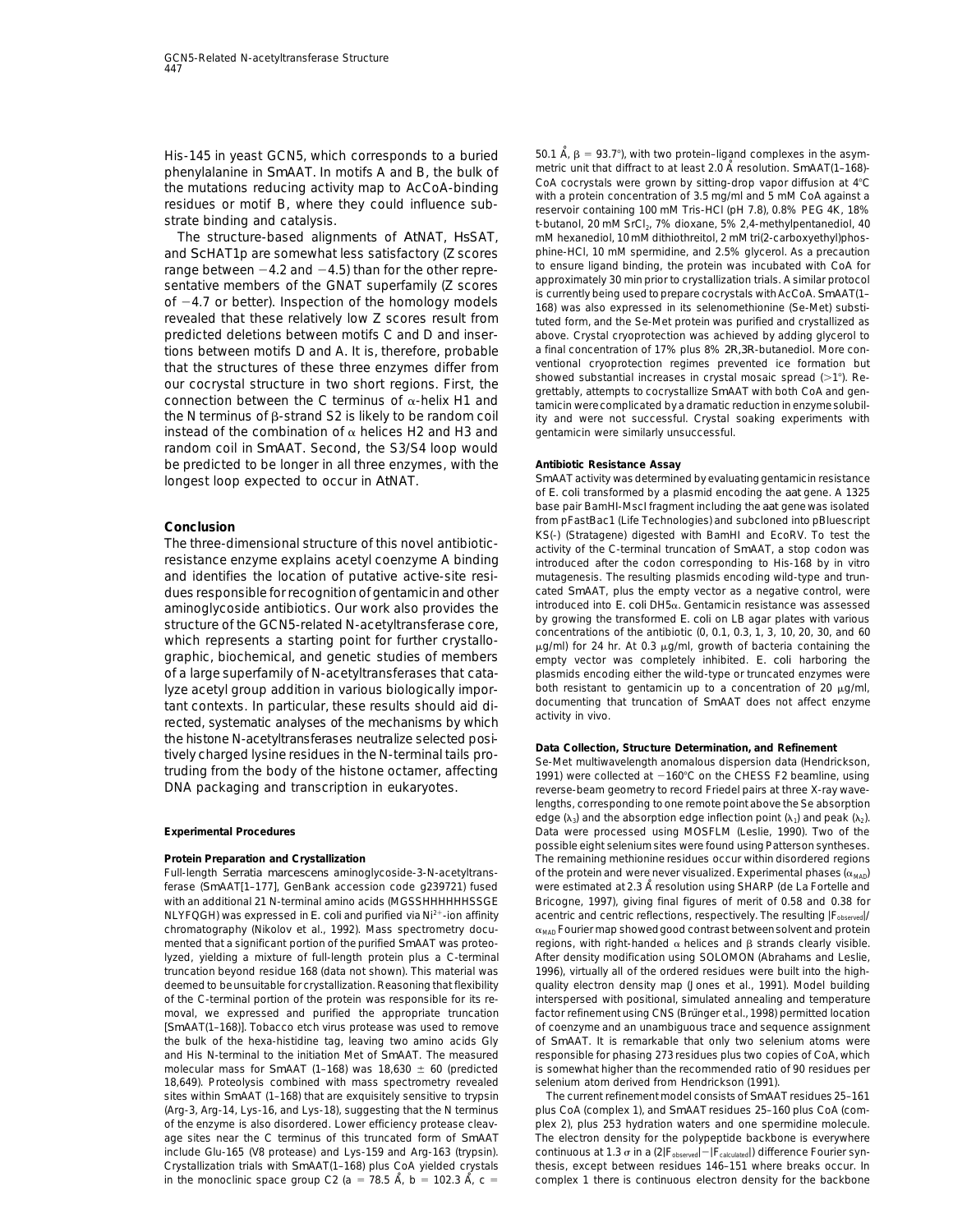His-145 in yeast GCN5, which corresponds to a buried  $\frac{50.1 \text{ Å}}{6}$  = 93.7°), with two protein–ligand complexes in the asym-<br>phenylalanine in SmAAT In motifs A and B, the bulk of metric unit that diffract to at least 2

range between  $-4.2$  and  $-4.5$ ) than for the other repre-<br>sentative members of the GNAT superfamily (Z scores<br>of  $-4.7$  or better). Inspection of the homology models<br>of  $-4.7$  or better). Inspection of the homology model revealed that these relatively low Z scores result from tuted form, and the Se-Met protein was purified and crystallized as<br>predicted deletions between motifs C and D and inser-<br>above. Crystal cryoprotection was achieved b that the structures of these three enzymes differ from<br>our cocrystal structure in two short regions. First, the<br>connection between the C terminus of  $\alpha$ -helix H1 and<br>tamicin were complicated by a dramatic reduction in en instead of the combination of  $\alpha$  helices H2 and H3 and gentamicin were similarly unsuccessful. random coil in *Sm*AAT. Second, the S3/S4 loop would be predicted to be longer in all three enzymes, with the **Antibiotic Resistance Assay** *Sm*AAT activity was determined by evaluating gentamicin resistance longest loop expected to occur in *At*NAT.

tant contexts. In particular, these results should aid di- accumenting these results should aid di-<br>rected, systematic analyses of the mechanisms by which activity in vivo. the histone N-acetyltransferases neutralize selected posi-<br>tively charged lysine residues in the N-terminal tails pro-<br>truding from the body of the histone octamer, affecting<br>DNA packaging and transcription in eukaryotes.<br>

Full-length *Serratia marcescens* aminoglycoside-3-N-acetyltrans- of the protein and were never visualized. Experimental phases ( $\alpha_{\text{MAP}}$ ) ferase (SmAAT[1-177], GenBank accession code g239721) fused were estimated at 2.3 Å resolution using SHARP (de La Fortelle and with an additional 21 N-terminal amino acids (MGSSHHHHHHSSGE Bricogne, 1997), giving final figures of merit of 0.58 and 0.38 for NLYFQGH) was expressed in *E. coli* and purified via Ni<sup>2+</sup>-ion affinity acentric and centric reflections, respectively. The resulting |F<sub>observed</sub>|/<br>chromatography (Nikolov et al., 1992). Mass spectrometry docu- and resul chromatography (Nikolov et al., 1992). Mass spectrometry documented that a significant portion of the purified SmAAT was proteo- regions, with right-handed α helices and β strands clearly visible. lyzed, yielding a mixture of full-length protein plus a C-terminal After density modification using SOLOMON (Abrahams and Leslie, truncation beyond residue 168 (data not shown). This material was 1996), virtually all of the ordered residues were built into the highdeemed to beunsuitable for crystallization. Reasoning that flexibility quality electron density map (Jones et al., 1991). Model building of the C-terminal portion of the protein was responsible for its re- interspersed with positional, simulated annealing and temperature moval, we expressed and purified the appropriate truncation factor refinement using CNS (Brünger et al., 1998) permitted location [*Sm*AAT(1–168)]. Tobacco etch virus protease was used to remove of coenzyme and an unambiguous trace and sequence assignment the bulk of the hexa-histidine tag, leaving two amino acids Gly of *Sm*AAT. It is remarkable that only two selenium atoms were and His N-terminal to the initiation Met of *Sm*AAT. The measured responsible for phasing 273 residues plus two copies of CoA, which molecular mass for *Sm*AAT (1–168) was 18,630  $\pm$  60 (predicted is somewhat higher than the recommended ratio of 90 residues per 18,649). Proteolysis combined with mass spectrometry revealed selenium atom derived from Hendrickson (1991). sites within *Sm*AAT (1–168) that are exquisitely sensitive to trypsin The current refinement model consists of *Sm*AAT residues 25–161 (Arg-3, Arg-14, Lys-16, and Lys-18), suggesting that the N terminus plus CoA (complex 1), and *Sm*AAT residues 25–160 plus CoA (comof the enzyme is also disordered. Lower efficiency protease cleav- plex 2), plus 253 hydration waters and one spermidine molecule. age sites near the C terminus of this truncated form of *Sm*AAT The electron density for the polypeptide backbone is everywhere include Glu-165 (V8 protease) and Lys-159 and Arg-163 (trypsin). continuous at 1.3 o in a (2|F<sub>observed</sub> – |F<sub>calculated</sub>) difference Fourier syn-<br>Crystallization trials with SmAAT(1–168) plus CoA yielded crystals thesis,

phenylalanine in *Sm*AAT. In motifs A and B, the bulk of metric unit that diffract to at least 2.0 A resolution. *Sm*AAT(1–168)-<br>The mutations reducing activity man to AcCoA-binding CoA cocrystals were grown by sitting-dro the mutations reducing activity map to AcCoA-binding<br>
residues or motif B, where they could influence sub-<br>
strate binding and catalysis.<br>
strate binding and catalysis.<br>
strate binding and catalysis. strate binding and catalysis. *<sup>t</sup>*-butanol, 20 mM SrCl2, 7% dioxane, 5% 2,4-methylpentanediol, 40 mM hexanediol, 10 mM dithiothreitol, 2 mM tri(2-carboxyethyl)phosand *Sc*HAT1p are somewhat less satisfactory (Z scores phine-HCl, 10 mM spermidine, and 2.5% glycerol. As a precaution<br>range hetween – 4.2 and – 4.5) than for the other repre- to ensure ligand binding, the protein was incu above. Crystal cryoprotection was achieved by adding glycerol to a final concentration of 17% plus 8% 2R,3R-butanediol. More contions between motifs D and A. It is, therefore, probable a final concentration of 17% plus 8% 2R,3R-butanediol. More con-<br>that the structures of these three enzymes differ from ventional cryoprotection regimes prevented ic the N terminus of  $\beta$ -strand S2 is likely to be random coil ity and were not successful. Crystal soaking experiments with

of *E. coli* transformed by a plasmid encoding the *aat* gene. A 1325 base pair BamHI-MscI fragment including the *aat* gene was isolated from pFastBac1 (Life Technologies) and subcloned into pBluescript<br>The three-dimensional structure of this novel antibiotic-<br>activity of the C-terminal truncation of SmAAT, a stop codon was resistance enzyme explains acetyl coenzyme A binding introduced after the codon corresponding to His-168 by in vitro and identifies the location of putative active-site resi- mutagenesis. The resulting plasmids encoding wild-type and trundues responsible for recognition of gentamicin and other cated *Sm*AAT, plus the empty vector as a negative control, were<br>
a minoglycoside antibiotics. Our work also provides the introduced into *E. coli* DH5a. Gentamicin aminoglycoside antibiotics. Our work also provides the<br>structure of the GCN5-related N-acetyltransferase core,<br>which represents a starting point for further crystallo-<br>graphic, biochemical, and genetic studies of members<br> empty vector was completely inhibited. E. coli harboring the of a large superfamily of N-acetyltransferases that cata- plasmids encoding either the wild-type or truncated enzymes were lyze acetyl group addition in various biologically impor-<br>tant contexts, in particular, these results should aid di- documenting that truncation of SmAAT does not affect enzyme

reverse-beam geometry to record Friedel pairs at three X-ray wavelengths, corresponding to one remote point above the Se absorption edge ( $\lambda_3$ ) and the absorption edge inflection point ( $\lambda_1$ ) and peak ( $\lambda_2$ ). **Experimental Procedures** Data were processed using MOSFLM (Leslie, 1990). Two of the possible eight selenium sites were found using Patterson syntheses. **Protein Preparation and Crystallization** The remaining methionine residues occur within disordered regions

thesis, except between residues 146-151 where breaks occur. In in the monoclinic space group C2 (a = 78.5  $\dot{A}$ , b = 102.3  $\dot{A}$ , c = complex 1 there is continuous electron density for the backbone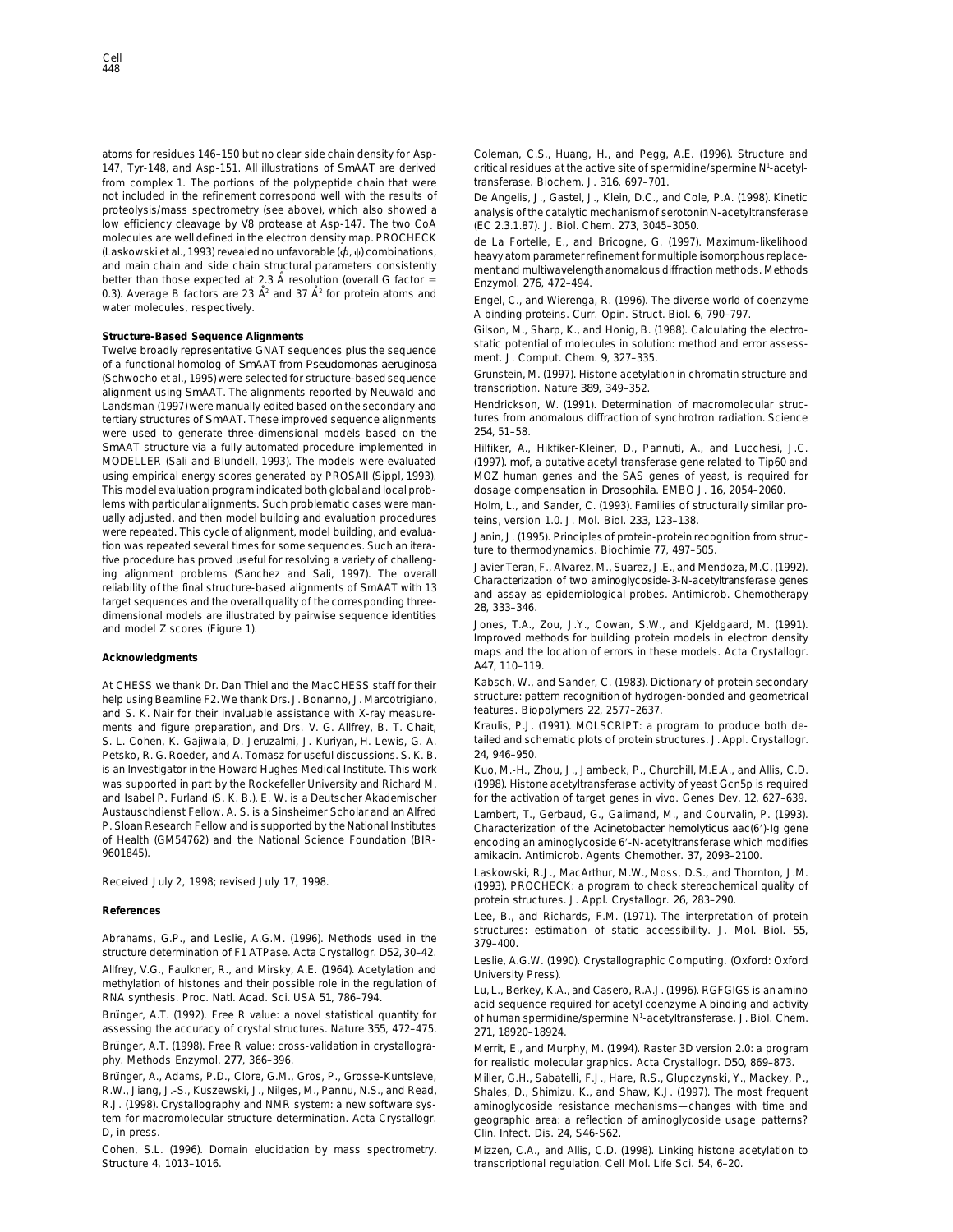atoms for residues 146–150 but no clear side chain density for Asp- Coleman, C.S., Huang, H., and Pegg, A.E. (1996). Structure and 147, Tyr-148, and Asp-151. All illustrations of SmAAT are derived critical residues at the active site of spermidine/spermine N<sup>1</sup>-acetylfrom complex 1. The portions of the polypeptide chain that were transferase. Biochem. J. *316*, 697–701. not included in the refinement correspond well with the results of De Angelis, J., Gastel, J., Klein, D.C., and Cole, P.A. (1998). Kinetic<br>proteolysis/mass spectrometry (see above), which also showed a analysis of the cata low efficiency cleavage by V8 protease at Asp-147. The two CoA (EC 2.3.1.87). J. Biol. Chem. *273*, 3045–3050. molecules are well defined in the electron density map. PROCHECK (Laskowski et al., 1993) revealed no unfavorable  $(\phi, \psi)$  combinations,<br>
(Laskowski et al., 1993) revealed no unfavorable  $(\phi, \psi)$  combinations,<br>
and main c 0.3). Average B factors are 23  $\AA^2$  and 37  $\AA^2$  for protein atoms and Engel, C., and Wierenga, R. (1996). The diverse world of coenzyme water molecules, respectively.<br>A binding proteins. Curr. Opin. Struct. Biol. 6, 7

Structure-Based Sequence Alignments<br>
Twelve broadly representative GNAT sequences plus the sequence<br>
of a functional homolog of SmAAT from Pseudomonas aeruginosa<br>
(Schwocho et al., 1995) were selected for structure-based s Landsman (1997) were manually edited based on the secondary and Hendrickson, W. (1991). Determination of macromolecular structertiary structures of *Sm*AAT. These improved sequence alignments tures from anomalous diffraction of synchrotron radiation. Science were used to generate three-dimensional models based on the 254, 51-58. were used to generate three-dimensional models based on the SmAAT structure via a fully automated procedure implemented in Hilfiker, A., Hikfiker-Kleiner, D., Pannuti, A., and Lucchesi, J.C. MODELLER (Sali and Blundell, 1993). The models were evaluated (1997). *mof*, a putative acetyl transferase gene related to Tip60 and using empirical energy scores generated by PROSAII (Sippl, 1993). MOZ human genes and the SAS genes of yeast, is required for This model evaluation program indicated both global and local prob- dosage compensation in *Drosophila*. EMBO J. *16*, 2054–2060. lems with particular alignments. Such problematic cases were man- Holm, L., and Sander, C. (1993). Families of structurally similar proually adjusted, and then model building and evaluation procedures teins, version 1.0. J. Mol. Biol. 233, 123–138.<br>Were repeated. This cycle of alignment, model building, and evaluawere repeated. This cycle of alignment, model building, and evalua-<br>tion was repeated several times for some sequences. Such an itera-<br>tive procedure has proved useful for resolving a variety of challengtive procedure has proved useful for resolving a variety of challeng-<br>
ing alignment problems (Sanchez and Sali, 1997). The overall<br>
reliability of the final structure-based alignments of SmAAT with 13<br>
target sequences an

help using Beamline F2. We thank Drs. J. Bonanno, J. Marcotrigiano, structure: pattern recognition of hydro<br>27-and S. K. Nair for their invaluable assistance with X-ray measure- features. Biopolymers 22, 2577–2637. ments and figure preparation, and Drs. V. G. Allfrey, B. T. Chait, Kraulis, P.J. (1991). MOLSCRIPT: a program to produce both de-<br>S. L. Cohen, K. Gaijwala, D. Jeruzalmi, J. Kurivan, H. Lewis, G. A. a tailed and schematic p S. L. Cohen, K. Gajiwala, D. Jeruzalmi, J. Kuriyan, H. Lewis, G. A. tailed and schematic plots of protein structures. J. Appl. 24, 946–950. Petsko, R. G. Roeder, and A. Tomasz for useful discussions. S. K. B. is an Investigator in the Howard Hughes Medical Institute. This work Kuo, M.-H., Zhou, J., Jambeck, P., Churchill, M.E.A., and Allis, C.D. and Isabel P. Furland (S. K. B.). E. W. is a Deutscher Akademischer for the activation of target genes in vivo. Genes Dev. 12, 627-639. Austauschdienst Fellow. A. S. is a Sinsheimer Scholar and an Alfred Lambert, T., Gerbaud, G., Galimand, M., and Courvalin, P. (1993).<br>P. Sloan Research Fellow and is supported by the National Institutes Characterization of P. Sloan Research Fellow and is supported by the National Institutes Characterization of the *Acinetobacter hemolyticus* aac(69)-Ig gene of Health (GM54762) and the National Science Foundation (BIR-<br>9601845). amikacin Antimicrob Agents Chemother 37 2093-2100

assessing the accuracy of crystal structures. Nature *355*, 472–475. *271*, 18920–18924.

D, in press. Clin. Infect. Dis. *24*, S46-S62.

Structure *4*, 1013–1016. transcriptional regulation. Cell Mol. Life Sci. *54*, 6–20.

analysis of the catalytic mechanism of serotonin N-acetyltransferase

maps and the location of errors in these models. Acta Crystallogr.<br> *A47*, 110–119.

At CHESS we thank Dr. Dan Thiel and the MacCHESS staff for their Kabsch, W., and Sander, C. (1983). Dictionary of protein secondary<br>help using Beamline F2 We thank Drs. J. Bonanno, J. Marcotrigiano, structure: pattern reco

was supported in part by the Rockefeller University and Richard M. (1998). Histone acetyltransferase activity of yeast Gcn5p is required

9601845). amikacin. Antimicrob. Agents Chemother. *37*, 2093–2100.

Laskowski, R.J., MacArthur, M.W., Moss, D.S., and Thornton, J.M. Received July 2, 1998; revised July 17, 1998. (1993). PROCHECK: a program to check stereochemical quality of protein structures. J. Appl. Crystallogr. *26*, 283–290.

**References** Lee, B., and Richards, F.M. (1971). The interpretation of protein structures: estimation of static accessibility. J. Mol. Biol. 55,<br>structure determination of F1 ATPase. Acta Crystallogr. *D52*, 30–42.

structure determination of F1 ATPase. Acta Crystallogr. D52, 30–42.<br>Allfrey, V.G., Faulkner, R., and Mirsky, A.E. (1964). Acetylation and<br>methylation of histones and their possible role in the regulation of<br>RNA synthesis. of human spermidine/spermine N<sup>1</sup>-acetyltransferase. J. Biol. Chem.

Brünger, A.T. (1998). Free R value: cross-validation in crystallogra-<br>
phy. Methods Enzymol. 277, 366-396.<br>
for realistic molecular graphics, Acta Crystallogr. D50, 869-873. for realistic molecular graphics. Acta Crystallogr. D50, 869-873.

Brünger, A., Adams, P.D., Clore, G.M., Gros, P., Grosse-Kuntsleve, Miller, G.H., Sabatelli, F.J., Hare, R.S., Glupczynski, Y., Mackey, P., R.W., Jiang, J.-S., Kuszewski, J., Nilges, M., Pannu, N.S., and Read, Shales, D., Shimizu, K., and Shaw, K.J. (1997). The most frequent R.J. (1998). Crystallography and NMR system: a new software sys- aminoglycoside resistance mechanisms—changes with time and tem for macromolecular structure determination. Acta Crystallogr. geographic area: a reflection of aminoglycoside usage patterns?

Cohen, S.L. (1996). Domain elucidation by mass spectrometry. Mizzen, C.A., and Allis, C.D. (1998). Linking histone acetylation to